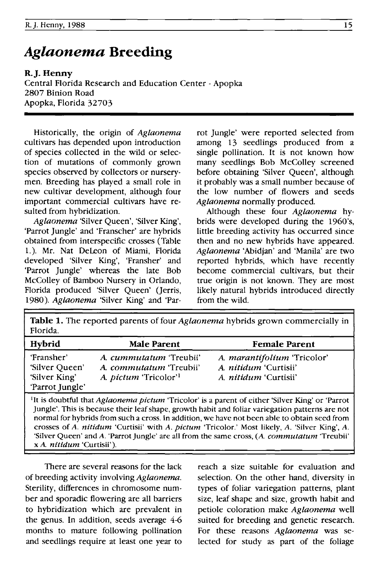# *Aglaonema* **Breeding**

R.J. Henny Central Florida Research and Education Center - Apopka 2807 Binion Road Apopka, Florida 32703

Historically, the origin of *Aglaonema* cultivars has depended upon introduction of species collected in the wild or selection of mutations of commonly grown species observed by collectors or nurserymen. Breeding· has played a small role in new cultivar development, although four important commercial cultivars have resulted from hybridization.

*Aglaonema* 'Silver Queen', 'Silver King', 'Parrot Jungle' and 'Franscher' are hybrids obtained from interspecific crosses (Table 1.). Mr. Nat Deleon of Miami, Florida developed 'Silver King', 'Fransher' and 'Parrot Jungle' whereas the late Bob McColley of Bamboo Nursery in Orlando, Florida produced 'Silver Queen' (Jerris, *1980). Aglaonema* 'Silver King' and 'Par-

rot Jungle' were reported selected from among 13 seedlings produced from a single pollination. It is not known how many seedlings Bob McColley screened before obtaining 'Silver Queen', although it probably was a small number because of the low number of flowers and seeds *Aglaonema* normally produced.

Although these four *Aglaonema* hybrids were developed during the 1960's, little breeding activity has occurred since then and no new hybrids have appeared. *Aglaonema* 'Abidjan' and 'Manila' are two reported hybrids, which have recently become commercial cultivars, but their true origin is not known. They are most likely natural hybrids introduced directly from the wild.

Table 1. The reported parents of four *Aglaonema* hybrids grown commercially in Florida.

| <b>Hybrid</b>                                                    | <b>Male Parent</b>                                                                                    | <b>Female Parent</b>                                                                        |
|------------------------------------------------------------------|-------------------------------------------------------------------------------------------------------|---------------------------------------------------------------------------------------------|
| 'Fransher'<br>'Silver Queen'<br>'Silver King'<br>'Parrot Jungle' | A. <i>cummutatum</i> 'Treubii'<br>A. commutatum 'Treubii'<br>A. <i>pictum</i> 'Tricolor' <sup>1</sup> | A. marantifolium 'Tricolor'<br>A. <i>nitidum</i> 'Curtisii'<br>A. <i>nitidum</i> 'Curtisii' |

lIt is doubtful that *Aglaonema pictum* 'Tricolor' is a parent of either 'Silver King' or 'Parrot Jungle'. This is because their leaf shape, growth habit and foliar variegation patterns are not normal for hybrids from such a cross. In addition, we have not been able to obtain seed from crosses of *A. nitidum* 'Curtisii' with *A. pictum* 'Tricolor.' Most likely, *A.* 'Silver King', *A.*  'Silver Queen' and A. 'Parrot Jungle' are all from the same cross, (A. *commutatum* 'Treubii' x A. *nitidum* 'Curtisii').

There are several reasons for the lack of breeding activity involving *Aglaonema.*  Sterility, differences in chromosome number and sporadic flowering are all barriers to hybridization which are prevalent in the genus. In addition, seeds average 4-6 months to mature following pollination and seedlings require at least one year to reach a size suitable for evaluation and selection. On the other hand, diversity in types of foliar variegation patterns, plant size, leaf shape and size, growth habit and petiole coloration make *Aglaonema* well suited for breeding and genetic research. For these reasons *Aglaonema* was selected for study as part of the foliage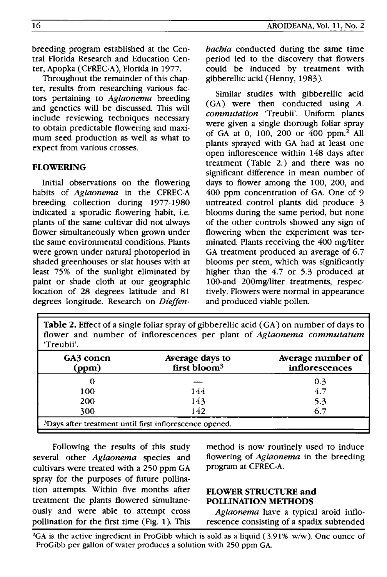Throughout the remainder of this chapter, results from researching various factors pertaining to Aglaonema breeding and genetics will be discussed. This will include reviewing techniques necessary to obtain predictable flowering and maximum seed production as well as what to expect from various crosses.

# FLOWERING

Initial observations on the flowering habits of Aglaonema in the CFREC-A breeding collection during 1977-1980 indicated a sporadic flowering habit, i.e. plants of the same cultivar did not always flower simultaneously when grown under the same environmental conditions. Plants were grown under natural photoperiod in shaded greenhouses or slat houses with at least 75% of the sunlight eliminated by paint or shade cloth at our geographic location of 28 degrees latitude and 81 degrees longitude. Research on *Dieffen-* AROIDEANA, Vol. 11, No.2

period led to the discovery that flowers could be induced by treatment with gibberellic acid (Henny, 1983).

Similar studies with gibberellic acid (GA) were then conducted using A. commutation 'Treubii'. Uniform plants were given a single thorough foliar spray of GA at 0, 100, 200 or 400 ppm.2 All plants sprayed with GA had at least one open inflorescence within 148 days after treatment (Table 2.) and there was no significant difference in mean number of days to flower among the 100, 200, and 400 ppm concentration of GA. One of 9 untreated control plants did produce 3 blooms during the same period, but none of the other controls showed any sign of flowering when the experiment was terminated. Plants receiving the 400 mg/liter GA treatment produced an average of 6.7 blooms per stem, which was significantly higher than the 4.7 or 5.3 produced at 100-and 200mg/liter treatments, respectively. Flowers were normal in appearance and produced viable pollen.

Table 2. Effect of a single foliar spray of gibberellic acid (GA) on number of days to flower and number of inflorescences per plant of Aglaonema commutatum 'Treubii'.

| GA3 concn<br>(ppm)                                                  | Average days to<br>first bloom <sup>3</sup> | Average number of<br>inflorescences |
|---------------------------------------------------------------------|---------------------------------------------|-------------------------------------|
|                                                                     |                                             | 0.3                                 |
| 100                                                                 | 144                                         | 4.7                                 |
| 200                                                                 | 143                                         | 5.3                                 |
| 300                                                                 | 142                                         |                                     |
| <sup>3</sup> Days after treatment until first inflorescence opened. |                                             |                                     |

Following the results of this study several other Aglaonema species and cultivars were treated with a 250 ppm GA spray for the purposes of future pollination attempts. Within five months after treatment the plants flowered simultaneously and were able to attempt cross pollination for the first time (Fig. 1). This method is now routinely used to induce flowering of Aglaonema in the breeding program at CFREC-A.

## FLOWER STRUCTURE and POLLINATION METHODS

Aglaonema have a typical aroid inflorescence consisting of a spadix subtended

<sup>2</sup>GA is the active ingredient in ProGibb which is sold as a liquid (3.91% w/w). One ounce of ProGibb per gallon of water produces a solution with 250 ppm GA.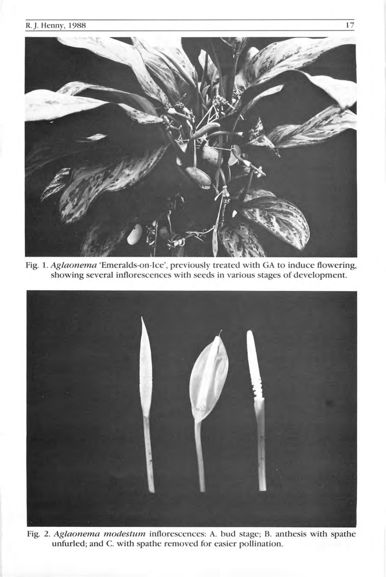# R. J. Henny, 1988 17



Fig. l. Aglaonema 'Emeralds-on-Ice', previously treated with GA to induce flowering, showing several inflorescences with seeds in various stages of development.



Fig. 2. Aglaonema modestum inflorescences: A. bud stage; B. anthesis with spathe unfurled; and C. with spathe removed for easier pollination.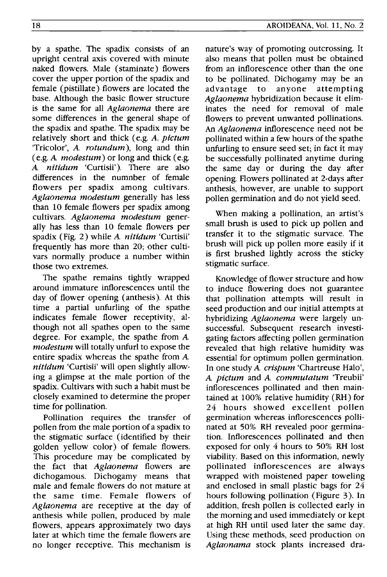by a spathe. The spadix consists of an upright central axis covered with minute naked flowers. Male (staminate) flowers cover the upper portion of the spadix and female (pistillate) flowers are located the base. Although the basic flower structure is the same for all *Aglaonema* there are some differences in the general shape of the spadix and spathe. The spadix may be relatively short and thick (e.g. *A. pictum*  'Tricolor', A *rotundum),* long and thin (e.g. A *modestum)* or long and thick (e.g. A *nitidum* 'Curtisii'). There are also differences in the numnber of female flowers per spadix among cultivars. *Aglaonema modestum* generally has less than 10 female flowers per spadix among cultivars. *Aglaonema modestum* generally has less than 10 female flowers per spadix (Fig. 2) while A *nitidum* 'Curtisii' frequently has more than 20; other cultivars normally produce a number within those two extremes.

The spathe remains tightly wrapped around immature inflorescences until the day of flower opening (anthesis). At this time a partial unfurling of the spathe indicates female flower receptivity, although not all spathes open to the same degree. For example, the spathe from A *modes tum* will totally unfurl to expose the entire spadix whereas the spathe from A *nitidum* 'Curtisii' will open slightly allowing a glimpse at the male portion of the spadix. Cultivars with such a habit must be closely examined to determine the proper time for pollination.

Pollination requires the transfer of pollen from the male portion of a spadix to the stigmatic surface (identified by their golden yellow color) of female flowers. This procedure may be complicated by the fact that *Aglaonema* flowers are dichogamous. Dichogamy means that male and female flowers do not mature at the same time. Female flowers of *Aglaonema* are receptive at the day of anthesis while pollen, produced by male flowers, appears approximately two days later at which time the female flowers are no longer receptive. This mechanism is

nature's way of promoting outcrossing. It also means that pollen must be obtained from an inflorescence other than the one to be pollinated. Dichogamy may be an advantage to anyone attempting *Aglaonema* hybridization because it eliminates the need for removal of male flowers to prevent unwanted pollinations. An *Aglaonema* inflorescence need not be pollinated within a few hours of the spathe unfurling to ensure seed set; in fact it may be successfully pollinated anytime during the same day or during the day after opening. Flowers pollinated at 2-days after anthesis, however, are unable to support pollen germination and do not yield seed.

When making a pollination, an artist's small brush is used to pick up pollen and transfer it to the stigmatic survace. The brush will pick up pollen more easily if it is first brushed lightly across the sticky stigmatic surface.

Knowledge of flower structure and how to induce flowering does not guarantee that pollination attempts will result in seed production and our initial attempts at hybridizing *Aglaonema* were largely unsuccessful. Subsequent research investigating factors affecting pollen germination revealed that high relative humidity was essential for optimum pollen germination. In one study A *crispum* 'Chartreuse Halo', A *pictum* and A *commutatum* 'Treubii' inflorescences pollinated and then maintained at 100% relative humidity (RH) for 24 hours showed excellent pollen germination whereas inflorescences pollinated at 50% RH revealed poor germination. Inflorescences pollinated and then exposed for only 4 hours to 50% RH lost Viability. Based on this information, newly pollinated inflorescences are always wrapped with moistened paper toweling and enclosed in small plastic bags for 24 hours following pollination (Figure 3). In addition, fresh pollen is collected early in the morning and used immediately or kept at high RH until used later the same day. Using these methods, seed production on *Aglaonama* stock plants increased dra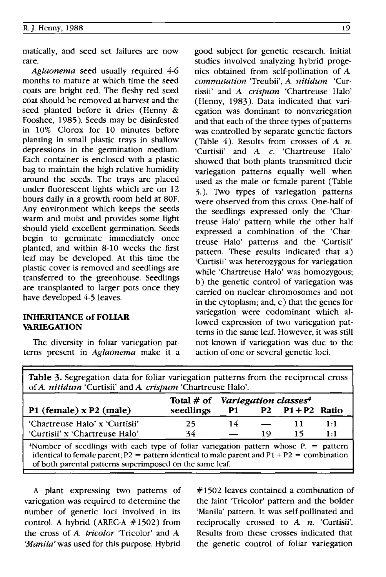matically, and seed set failures are now rare.

*Aglaonema* seed usually required 4-6 months to mature at which time the seed coats are bright red. The fleshy red seed coat should be removed at harvest and the seed planted before it dries (Henny & Fooshee, 1985). Seeds may be disinfested in 10% Clorox for 10 minutes before planting in small plastic trays in shallow depressions in the germination medium. Each container is enclosed with a plastic bag to maintain the high relative humidity around the seeds. The trays are placed under fluorescent lights which are on 12 hours daily in a growth room held at 80F. Any environment which keeps the seeds warm and moist and provides some light should yield excellent germination. Seeds begin to germinate immediately once planted, and within 8-10 weeks the first leaf may be developed. At this time the plastic cover is removed and seedlings are transferred to the greenhouse. Seedlings are transplanted to larger pots once they have developed 4-5 leaves.

### INHERITANCE of FOLIAR VARIEGATION

The diversity in foliar variegation patterns present in *Aglaonema* make it a good subject for genetic research. Initial studies involved analyzing hybrid progenies obtained from self-pollination of A *commutation* 'Treubii', A *nitidum* 'Curtissii' and A *crispum* 'Chartreuse Halo' (Henny, 1983). Data indicated that variegation was dominant to nonvariegation and that each of the three types of patterns was controlled by separate genetic factors (Table 4). Results from crosses of  $A$   $n$ . 'Curtisii' and A *c.* 'Chartreuse Halo' showed that both plants transmitted their variegation patterns equally well when used as the male or female parent (Table 3.). Two types of variegation patterns were observed from this cross. One-half of the seedlings expressed only the 'Chartreuse Halo' pattern while the other half expressed a combination of the 'Chartreuse Halo' patterns and the 'Curtisii' pattern. These results indicated that a) 'Curtisii' was heterozygous for variegation while 'Chartreuse Halo' was homozygous; b) the genetic control of variegation was carried on nuclear chromosomes and not in the cytoplasm; and, c) that the genes for variegation were codominant which allowed expression of two variegation patterns in the same leaf. However, it was still not known if variegation was due to the action of one or several genetic loci.

| Table 3. Segregation data for foliar variegation patterns from the reciprocal cross<br>of A. nitidum 'Curtisii' and A. crispum 'Chartreuse Halo'.                                                                                                                |                                                          |    |    |                           |            |
|------------------------------------------------------------------------------------------------------------------------------------------------------------------------------------------------------------------------------------------------------------------|----------------------------------------------------------|----|----|---------------------------|------------|
| P1 (female) $x P2$ (male)                                                                                                                                                                                                                                        | Total # of Variegation classes <sup>4</sup><br>seedlings |    |    | $P1$ $P2$ $P1 + P2$ Ratio |            |
| 'Chartreuse Halo' x 'Curtisii'<br>'Curtisii' x 'Chartreuse Halo'                                                                                                                                                                                                 | 25<br>34                                                 | 14 | 19 | 11<br>15                  | 1:1<br>1:1 |
| <sup>4</sup> Number of seedlings with each type of foliar variegation pattern whose $P =$ pattern<br>identical to female parent; $P2 =$ pattern identical to male parent and $P1 + P2 =$ combination<br>of both parental patterns superimposed on the same leaf. |                                                          |    |    |                           |            |

A plant expressing two patterns of variegation was required to determine the number of genetic loci involved in its control. A hybrid (AREC-A #1502) from the cross of A *tricolor* 'Tricolor' and A *'Manila'* was used for this purpose. Hybrid

# 1502 leaves contained a combination of the faint 'Tricolor' pattern and the bolder 'Manila' pattern. It was self-pollinated and reciprocally crossed to A *n.* 'Curtisii'. Results from these crosses indicated that the genetic control of foliar variegation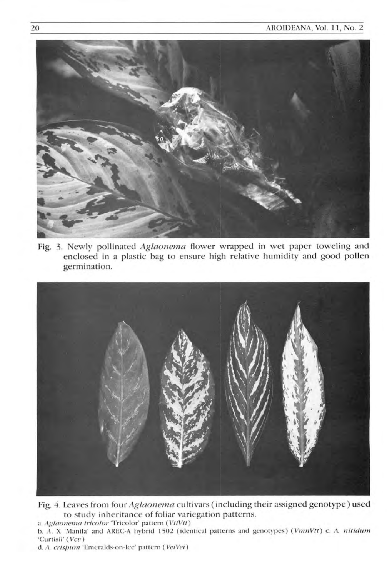

Fig. 3. Newly pollinated Aglaonema flower wrapped in wet paper toweling and enclosed in a plastic bag to ensure high relative humidity and good pollen germination.



Fig. 4. Leaves from four Aglaonema cultivars (including their assigned genotype) used to study inheritance of foliar variegation patterns. a. Aglaonema tricolor 'Tricolor' pattern (VttVtt)

b. A. X 'Manila' and AREC-A hybrid 1502 (identical patterns and genotypes) (VmnVtt) c. A. nitidum 'Curtisii' (Vcv)

d. A. crispum 'Emeralds-on-Ice' pattern (VeiVei)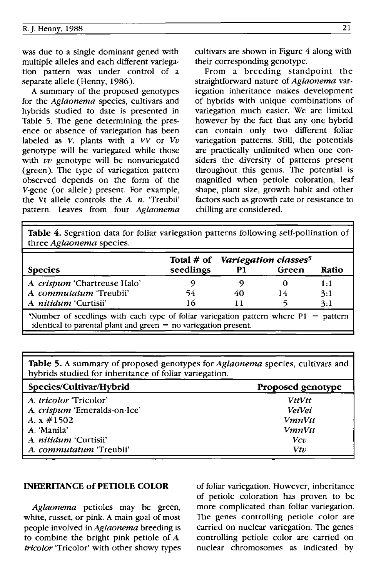was due to a single dominant gened with multiple alleles and each different variegation pattern was under control of a separate allele (Henny, 1986).

A summary of the proposed genotypes for the *Aglaonema* species, cultivars and hybrids studied to date is presented in Table 5. The gene determining the presence or absence of variegation has been labeled as  $V$ . plants with a  $VV$  or  $Vv$ genotype will be variegated while those with  $vv$  genotype will be nonvariegated (green). The type of variegation pattern observed depends on the form of the V-gene (or allele) present. For example, the Vt allele controls the A *n.* 'Treubii' pattern. Leaves from four *Aglaonema*  cultivars are shown in Figure 4 along with their corresponding genotype.

From a breeding standpoint the straightforward nature of *Aglaonema* variegation inheritance makes development of hybrids with unique combinations of variegation much easier. We are limited however by the fact that any one hybrid can contain only two different foliar variegation patterns. Still, the potentials are practically unlimited when one considers the diversity of patterns present throughout this genus. The potential is magnified when petiole coloration, leaf shape, plant size, growth habit and other factors such as growth rate or resistance to chilling are considered.

Table 4. Segration data for foliar variegation patterns following self-pollination of three *Aglaonema* species.

| <b>Species</b>                                                                                                                                                          | seedlings | P1       | Total # of Variegation classes <sup>5</sup><br>Green | Ratio             |
|-------------------------------------------------------------------------------------------------------------------------------------------------------------------------|-----------|----------|------------------------------------------------------|-------------------|
| A <i>crispum</i> 'Chartreuse Halo'<br>A. commutatum 'Treubii'<br>A. nitidum 'Curtisii'                                                                                  | 54<br>16  | 40<br>11 | 14                                                   | 1:1<br>3:1<br>3:1 |
| <sup>5</sup> Number of seedlings with each type of foliar variegation pattern where $P1 =$ pattern<br>identical to parental plant and green $=$ no variegation present. |           |          |                                                      |                   |

Table 5. A summary of proposed genotypes for *Aglaonema* species, cultivars and hybrids studied for inheritance of foliar variegation.

| Species/Cultivar/Hybrid      | Proposed genotype |  |  |
|------------------------------|-------------------|--|--|
| A. tricolor 'Tricolor'       | <b>VttVtt</b>     |  |  |
| A. crispum 'Emeralds-on-Ice' | <b>VeiVei</b>     |  |  |
| A. x #1502                   | <b>VmnVtt</b>     |  |  |
| A. 'Manila'                  | <b>VmnVtt</b>     |  |  |
| A. <i>nitidum</i> 'Curtisii' | Vcv               |  |  |
| A. commutatum 'Treubii'      | Vtv               |  |  |

#### INHERITANCE of PETIOLE COLOR

*Aglaonema* petioles may be green, white, russet, or pink. A main goal of most people involved in *Aglaonema* breeding is to combine the bright pink petiole of A *tricolor* 'Tricolor' with other showy types of foliar variegation. However, inheritance of petiole coloration has proven to be more complicated than foliar variegation. The genes controlling petiole color are carried on nuclear variegation. The genes controlling petiole color are carried on nuclear chromosomes as indicated by